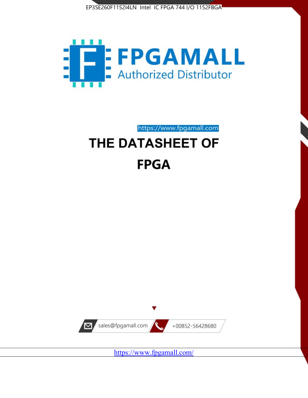



https://www.fpgamall.com

# THE DATASHEET OF **FPGA**



<https://www.fpgamall.com/>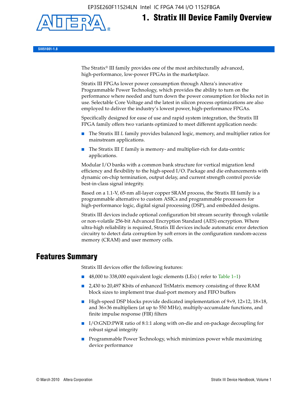EP3SE260F1152I4LN Intel IC FPGA 744 I/O 1152FBGA



# **1. Stratix III Device Family Overview**

**SIII51001-1.8**

The Stratix® III family provides one of the most architecturally advanced, high-performance, low-power FPGAs in the marketplace.

Stratix III FPGAs lower power consumption through Altera's innovative Programmable Power Technology, which provides the ability to turn on the performance where needed and turn down the power consumption for blocks not in use. Selectable Core Voltage and the latest in silicon process optimizations are also employed to deliver the industry's lowest power, high-performance FPGAs.

Specifically designed for ease of use and rapid system integration, the Stratix III FPGA family offers two variants optimized to meet different application needs:

- The Stratix III *L* family provides balanced logic, memory, and multiplier ratios for mainstream applications.
- The Stratix III *E* family is memory- and multiplier-rich for data-centric applications.

Modular I/O banks with a common bank structure for vertical migration lend efficiency and flexibility to the high-speed I/O. Package and die enhancements with dynamic on-chip termination, output delay, and current strength control provide best-in-class signal integrity.

Based on a 1.1-V, 65-nm all-layer copper SRAM process, the Stratix III family is a programmable alternative to custom ASICs and programmable processors for high-performance logic, digital signal processing (DSP), and embedded designs.

Stratix III devices include optional configuration bit stream security through volatile or non-volatile 256-bit Advanced Encryption Standard (AES) encryption. Where ultra-high reliability is required, Stratix III devices include automatic error detection circuitry to detect data corruption by soft errors in the configuration random-access memory (CRAM) and user memory cells.

## **Features Summary**

Stratix III devices offer the following features:

- 48,000 to 338,000 equivalent logic elements (LEs) (refer to Table 1–1)
- 2,430 to 20,497 Kbits of enhanced TriMatrix memory consisting of three RAM block sizes to implement true dual-port memory and FIFO buffers
- High-speed DSP blocks provide dedicated implementation of 9×9, 12×12, 18×18, and 36×36 multipliers (at up to 550 MHz), multiply-accumulate functions, and finite impulse response (FIR) filters
- I/O:GND:PWR ratio of 8:1:1 along with on-die and on-package decoupling for robust signal integrity
- Programmable Power Technology, which minimizes power while maximizing device performance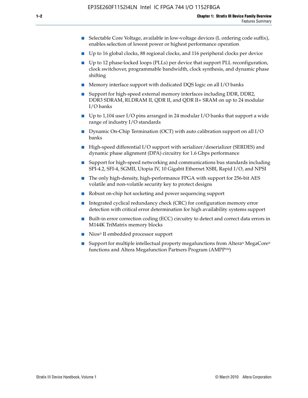- Selectable Core Voltage, available in low-voltage devices (L ordering code suffix), enables selection of lowest power or highest performance operation
- Up to 16 global clocks, 88 regional clocks, and 116 peripheral clocks per device
- Up to 12 phase-locked loops (PLLs) per device that support PLL reconfiguration, clock switchover, programmable bandwidth, clock synthesis, and dynamic phase shifting
- Memory interface support with dedicated DQS logic on all I/O banks
- Support for high-speed external memory interfaces including DDR, DDR2, DDR3 SDRAM, RLDRAM II, QDR II, and QDR II+ SRAM on up to 24 modular I/O banks
- Up to 1,104 user I/O pins arranged in 24 modular I/O banks that support a wide range of industry I/O standards
- Dynamic On-Chip Termination (OCT) with auto calibration support on all  $I/O$ banks
- High-speed differential I/O support with serializer/deserializer (SERDES) and dynamic phase alignment (DPA) circuitry for 1.6 Gbps performance
- Support for high-speed networking and communications bus standards including SPI-4.2, SFI-4, SGMII, Utopia IV, 10 Gigabit Ethernet XSBI, Rapid I/O, and NPSI
- The only high-density, high-performance FPGA with support for 256-bit AES volatile and non-volatile security key to protect designs
- Robust on-chip hot socketing and power sequencing support
- Integrated cyclical redundancy check (CRC) for configuration memory error detection with critical error determination for high availability systems support
- Built-in error correction coding (ECC) circuitry to detect and correct data errors in M144K TriMatrix memory blocks
- Nios<sup>®</sup> II embedded processor support
- Support for multiple intellectual property megafunctions from Altera® MegaCore® functions and Altera Megafunction Partners Program (AMPPSM)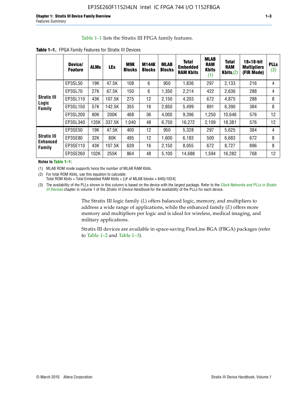#### Table 1–1 lists the Stratix III FPGA family features.

|                                | Device/<br><b>Feature</b> | <b>ALMs</b> | <b>LEs</b> | <b>M9K</b><br><b>Blocks</b> | <b>M144K</b><br><b>Blocks</b> | <b>MLAB</b><br><b>Blocks</b> | <b>Total</b><br>Embedded<br><b>RAM Kbits</b> | <b>MLAB</b><br><b>RAM</b><br><b>Kbits</b><br>(1) | <b>Total</b><br><b>RAM</b><br>Kbits $(2)$ | $18\times18$ -bit<br><b>Multipliers</b><br>(FIR Mode) | <b>PLLs</b><br>(3) |
|--------------------------------|---------------------------|-------------|------------|-----------------------------|-------------------------------|------------------------------|----------------------------------------------|--------------------------------------------------|-------------------------------------------|-------------------------------------------------------|--------------------|
|                                | EP3SL50                   | 19K         | 47.5K      | 108                         | 6                             | 950                          | 1,836                                        | 297                                              | 2,133                                     | 216                                                   | 4                  |
|                                | EP3SL70                   | 27K         | 67.5K      | 150                         | 6                             | 1,350                        | 2,214                                        | 422                                              | 2,636                                     | 288                                                   | 4                  |
| <b>Stratix III</b>             | EP3SL110                  | 43K         | 107.5K     | 275                         | 12                            | 2,150                        | 4,203                                        | 672                                              | 4,875                                     | 288                                                   | 8                  |
| Logic<br>Family                | EP3SL150                  | 57K         | 142.5K     | 355                         | 16                            | 2,850                        | 5,499                                        | 891                                              | 6,390                                     | 384                                                   | 8                  |
|                                | EP3SL200                  | 80K         | 200K       | 468                         | 36                            | 4,000                        | 9,396                                        | 1,250                                            | 10,646                                    | 576                                                   | 12                 |
|                                | EP3SL340                  | 135K        | 337.5K     | 1,040                       | 48                            | 6,750                        | 16,272                                       | 2,109                                            | 18,381                                    | 576                                                   | 12                 |
|                                | EP3SE50                   | 19K         | 47.5K      | 400                         | 12                            | 950                          | 5,328                                        | 297                                              | 5,625                                     | 384                                                   | 4                  |
| <b>Stratix III</b><br>Enhanced | EP3SE80                   | 32K         | 80K        | 495                         | 12                            | 1,600                        | 6,183                                        | 500                                              | 6,683                                     | 672                                                   | 8                  |
| Family                         | EP3SE110                  | 43K         | 107.5K     | 639                         | 16                            | 2,150                        | 8.055                                        | 672                                              | 8,727                                     | 896                                                   | 8                  |
|                                | EP3SE260                  | 102K        | 255K       | 864                         | 48                            | 5,100                        | 14,688                                       | 1,594                                            | 16,282                                    | 768                                                   | 12                 |

**Table 1–1.** FPGA Family Features for Stratix III Devices

**Notes to Table 1–1:**

(1) MLAB ROM mode supports twice the number of MLAB RAM Kbits.

(2) For total ROM Kbits, use this equation to calculate: Total ROM Kbits = Total Embedded RAM Kbits +  $[(# of MLAB blocks × 640)/1024]$ 

(3) The availability of the PLLs shown in this column is based on the device with the largest package. Refer to the *[Clock Networks and PLLs in Stratix](http://www.altera.com/literature/hb/stx3/stx3_siii51006.pdf)  [III Devices](http://www.altera.com/literature/hb/stx3/stx3_siii51006.pdf)* chapter in volume 1 of the *Stratix III Device Handbook* for the availability of the PLLs for each device.

> The Stratix III logic family (*L*) offers balanced logic, memory, and multipliers to address a wide range of applications, while the enhanced family (*E*) offers more memory and multipliers per logic and is ideal for wireless, medical imaging, and military applications.

Stratix III devices are available in space-saving FineLine BGA (FBGA) packages (refer to Table 1–2 and Table 1–3).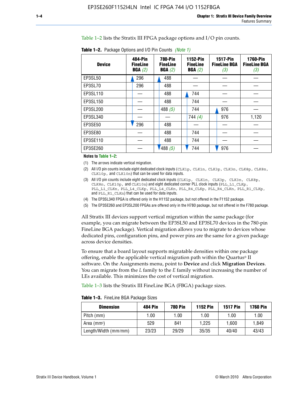Table 1–2 lists the Stratix III FPGA package options and I/O pin counts.

| <b>Device</b> | 484-Pin<br><b>FineLine</b><br>BGA(2) | <b>780-Pin</b><br><b>FineLine</b><br>BGA(2) | 1152-Pin<br><b>FineLine</b><br>BGA(2) | <b>1517-Pin</b><br><b>FineLine BGA</b><br>(3) | <b>1760-Pin</b><br><b>FineLine BGA</b><br>(3) |
|---------------|--------------------------------------|---------------------------------------------|---------------------------------------|-----------------------------------------------|-----------------------------------------------|
| EP3SL50       | 296                                  | 488                                         |                                       |                                               |                                               |
| EP3SL70       | 296                                  | 488                                         |                                       |                                               |                                               |
| EP3SL110      |                                      | 488                                         | 744                                   |                                               |                                               |
| EP3SL150      |                                      | 488                                         | 744                                   |                                               |                                               |
| EP3SL200      |                                      | 488 $(5)$                                   | 744                                   | 976                                           |                                               |
| EP3SL340      |                                      |                                             | 744(4)                                | 976                                           | 1,120                                         |
| EP3SE50       | 296                                  | 488                                         |                                       |                                               |                                               |
| EP3SE80       |                                      | 488                                         | 744                                   |                                               |                                               |
| EP3SE110      |                                      | 488                                         | 744                                   |                                               |                                               |
| EP3SE260      |                                      | 1488(5)                                     | 744                                   | 976                                           |                                               |

**Table 1–2.** Package Options and I/O Pin Counts *(Note 1)*

**Notes to Table 1–2:**

(1) The arrows indicate vertical migration.

- (2) All I/O pin counts include eight dedicated clock inputs (CLK1p, CLK1n, CLK3p, CLK3n, CLK8p, CLK8n, CLK10p, and CLK10n) that can be used for data inputs.
- (3) All I/O pin counts include eight dedicated clock inputs (CLK1p, CLK1n, CLK3p, CLK3n, CLK8p, CLK8n, CLK10p, and CLK10n) and eight dedicated corner PLL clock inputs (PLL\_L1\_CLKp, PLL\_L1\_CLKn, PLL\_L4\_CLKp, PLL\_L4\_CLKn, PLL\_R4\_CLKp, PLL\_R4\_CLKn, PLL\_R1\_CLKp, and PLL\_R1\_CLKn) that can be used for data inputs.
- (4) The EP3SL340 FPGA is offered only in the H1152 package, but not offered in the F1152 package.
- (5) The EP3SE260 and EP3SL200 FPGAs are offered only in the H780 package, but not offered in the F780 package.

All Stratix III devices support vertical migration within the same package (for example, you can migrate between the EP3SL50 and EP3SL70 devices in the 780-pin FineLine BGA package). Vertical migration allows you to migrate to devices whose dedicated pins, configuration pins, and power pins are the same for a given package across device densities.

To ensure that a board layout supports migratable densities within one package offering, enable the applicable vertical migration path within the Quartus® II software. On the Assignments menu, point to **Device** and click **Migration Devices**. You can migrate from the *L* family to the *E* family without increasing the number of LEs available. This minimizes the cost of vertical migration.

Table 1–3 lists the Stratix III FineLine BGA (FBGA) package sizes.

| <b>Table 1-3.</b> FineLine BGA Package Sizes |  |  |
|----------------------------------------------|--|--|
|----------------------------------------------|--|--|

| <b>Dimension</b>     | <b>484 Pin</b> | 780 Pin | <b>1152 Pin</b> | <b>1517 Pin</b> | <b>1760 Pin</b> |
|----------------------|----------------|---------|-----------------|-----------------|-----------------|
| Pitch (mm)           | 1.00           | 1.00    | 1.00            | 1.00            | 1.00            |
| Area $(mm^2)$        | 529            | 841     | 1.225           | 1.600           | 1.849           |
| Length/Width (mm/mm) | 23/23          | 29/29   | 35/35           | 40/40           | 43/43           |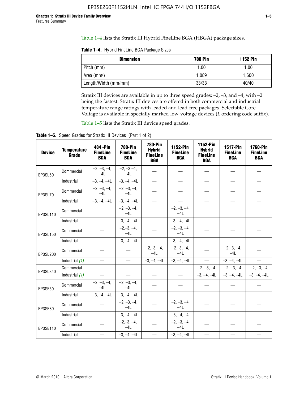Table 1–4 lists the Stratix III Hybrid FineLine BGA (HBGA) package sizes.

**Table 1–4.** Hybrid FineLine BGA Package Sizes

| <b>Dimension</b>     | <b>780 Pin</b> | <b>1152 Pin</b> |
|----------------------|----------------|-----------------|
| Pitch (mm)           | 1.00           | 1.00            |
| Area $(mm^2)$        | 1.089          | 1.600           |
| Length/Width (mm/mm) | 33/33          | 40/40           |

Stratix III devices are available in up to three speed grades: –2, –3, and –4, with –2 being the fastest. Stratix III devices are offered in both commercial and industrial temperature range ratings with leaded and lead-free packages. Selectable Core Voltage is available in specially marked low-voltage devices (*L* ordering code suffix).

Table 1–5 lists the Stratix III device speed grades.

Table 1-5. Speed Grades for Stratix III Devices (Part 1 of 2)

| <b>Device</b> | <b>Temperature</b><br>Grade | 484 - Pin<br><b>FineLine</b><br><b>BGA</b> | <b>780-Pin</b><br><b>FineLine</b><br><b>BGA</b> | <b>780-Pin</b><br><b>Hybrid</b><br><b>FineLine</b><br><b>BGA</b> | 1152-Pin<br><b>FineLine</b><br><b>BGA</b> | 1152-Pin<br><b>Hybrid</b><br><b>FineLine</b><br><b>BGA</b> | <b>1517-Pin</b><br><b>FineLine</b><br><b>BGA</b> | 1760-Pin<br><b>FineLine</b><br><b>BGA</b> |
|---------------|-----------------------------|--------------------------------------------|-------------------------------------------------|------------------------------------------------------------------|-------------------------------------------|------------------------------------------------------------|--------------------------------------------------|-------------------------------------------|
| EP3SL50       | Commercial                  | $-2, -3, -4,$<br>$-4L$                     | $-2, -3, -4,$<br>$-4L$                          |                                                                  |                                           |                                                            |                                                  |                                           |
|               | Industrial                  | $-3, -4, -4L$                              | $-3, -4, -4L$                                   | $\equiv$                                                         | $\equiv$                                  | $\equiv$                                                   | $\equiv$                                         | $\overline{\phantom{0}}$                  |
| EP3SL70       | Commercial                  | $-2, -3, -4,$<br>$-41$                     | $-2, -3, -4,$<br>$-41$                          |                                                                  |                                           |                                                            |                                                  |                                           |
|               | Industrial                  | $-3, -4, -4L$                              | $-3, -4, -4L$                                   |                                                                  | $\overline{\phantom{0}}$                  | $\equiv$                                                   | $\equiv$                                         | $\equiv$                                  |
| EP3SL110      | Commercial                  |                                            | $-2, -3, -4,$<br>$-4L$                          |                                                                  | $-2, -3, -4,$<br>$-4L$                    |                                                            |                                                  |                                           |
|               | Industrial                  | $\equiv$                                   | $-3, -4, -4L$                                   |                                                                  | $-3, -4, -4L$                             | $\frac{1}{2}$                                              | $\equiv$                                         | $\equiv$                                  |
| EP3SL150      | Commercial                  |                                            | $-2, -3, -4,$<br>$-41$                          |                                                                  | $-2, -3, -4,$<br>$-41$                    |                                                            |                                                  |                                           |
|               | Industrial                  | $\overline{\phantom{m}}$                   | $-3, -4, -4L$                                   | $\overline{\phantom{m}}$                                         | $-3, -4, -4L$                             | $\overline{\phantom{0}}$                                   | $\overline{\phantom{0}}$                         |                                           |
| EP3SL200      | Commercial                  |                                            |                                                 | $-2, -3, -4,$<br>$-4L$                                           | $-2,-3,-4,$<br>$-4L$                      |                                                            | $-2,-3,-4,$<br>$-4L$                             |                                           |
|               | Industrial (1)              | $\equiv$                                   | $\equiv$                                        | $-3, -4, -4L$                                                    | $-3, -4, -4L$                             | $\frac{1}{1}$                                              | $-3, -4, -4L$                                    | $\equiv$                                  |
| EP3SL340      | Commercial                  | $\equiv$                                   | $\qquad \qquad$                                 | $\qquad \qquad$                                                  | $\overline{\phantom{m}}$                  |                                                            | $-2, -3, -4$ $-2, -3, -4$                        | $-2, -3, -4$                              |
|               | Industrial (1)              |                                            | $\equiv$                                        | $\overline{\phantom{0}}$                                         | $\overline{\phantom{0}}$                  |                                                            | $-3, -4, -4$ $-3, -4, -4$                        | $-3, -4, -4L$                             |
| EP3SE50       | Commercial                  | $-2, -3, -4,$<br>$-4L$                     | $-2, -3, -4,$<br>$-4L$                          |                                                                  |                                           |                                                            |                                                  |                                           |
|               | Industrial                  | $-3, -4, -4L$                              | $-3, -4, -4L$                                   | $\equiv$                                                         | $\equiv$                                  | $\overline{\phantom{0}}$                                   | $\equiv$                                         | $\overline{\phantom{0}}$                  |
| EP3SE80       | Commercial                  |                                            | $-2, -3, -4,$<br>$-41$                          |                                                                  | $-2, -3, -4,$<br>$-41$                    |                                                            |                                                  |                                           |
|               | Industrial                  | $\overline{\phantom{m}}$                   | $-3, -4, -4L$                                   |                                                                  | $-3, -4, -4L$                             | $\qquad \qquad$                                            | $\equiv$                                         |                                           |
| EP3SE110      | Commercial                  |                                            | $-2, -3, -4,$<br>$-4L$                          |                                                                  | $-2, -3, -4,$<br>$-4L$                    |                                                            |                                                  |                                           |
|               | Industrial                  |                                            | $-3, -4, -4L$                                   | $\equiv$                                                         | $-3, -4, -4L$                             |                                                            |                                                  |                                           |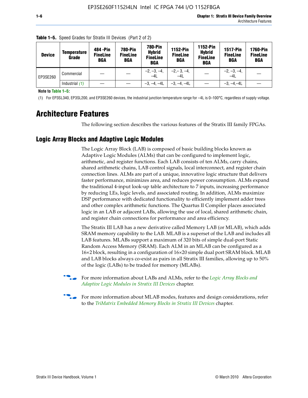| <b>Device</b> | <b>Temperature</b><br>Grade | 484 - Pin<br><b>FineLine</b><br><b>BGA</b> | <b>780-Pin</b><br><b>FineLine</b><br>BGA | <b>780-Pin</b><br><b>Hybrid</b><br><b>FineLine</b><br><b>BGA</b> | 1152-Pin<br><b>FineLine</b><br><b>BGA</b> | <b>1152-Pin</b><br><b>Hybrid</b><br><b>FineLine</b><br><b>BGA</b> | <b>1517-Pin</b><br><b>FineLine</b><br><b>BGA</b> | <b>1760-Pin</b><br><b>FineLine</b><br><b>BGA</b> |
|---------------|-----------------------------|--------------------------------------------|------------------------------------------|------------------------------------------------------------------|-------------------------------------------|-------------------------------------------------------------------|--------------------------------------------------|--------------------------------------------------|
| EP3SE260      | Commercial                  |                                            |                                          | $-2, -3, -4,$<br>$-4L$                                           | $-2, -3, -4,$<br>$-4L$                    |                                                                   | $-2, -3, -4,$<br>$-4L$                           |                                                  |
|               | Industrial $(1)$            |                                            |                                          | $-3, -4, -4L$                                                    | $-3, -4, -4L$                             |                                                                   | $-3. -4 -4L$                                     |                                                  |

**Table 1–5.** Speed Grades for Stratix III Devices (Part 2 of 2)

**Note to Table 1–5:**

(1) For EP3SL340, EP3SL200, and EP3SE260 devices, the industrial junction temperature range for –4L is 0–100°C, regardless of supply voltage.

# **Architecture Features**

The following section describes the various features of the Stratix III family FPGAs.

## **Logic Array Blocks and Adaptive Logic Modules**

The Logic Array Block (LAB) is composed of basic building blocks known as Adaptive Logic Modules (ALMs) that can be configured to implement logic, arithmetic, and register functions. Each LAB consists of ten ALMs, carry chains, shared arithmetic chains, LAB control signals, local interconnect, and register chain connection lines. ALMs are part of a unique, innovative logic structure that delivers faster performance, minimizes area, and reduces power consumption. ALMs expand the traditional 4-input look-up table architecture to 7 inputs, increasing performance by reducing LEs, logic levels, and associated routing. In addition, ALMs maximize DSP performance with dedicated functionality to efficiently implement adder trees and other complex arithmetic functions. The Quartus II Compiler places associated logic in an LAB or adjacent LABs, allowing the use of local, shared arithmetic chain, and register chain connections for performance and area efficiency.

The Stratix III LAB has a new derivative called Memory LAB (or MLAB), which adds SRAM memory capability to the LAB. MLAB is a superset of the LAB and includes all LAB features. MLABs support a maximum of 320 bits of simple dual-port Static Random Access Memory (SRAM). Each ALM in an MLAB can be configured as a 16×2 block, resulting in a configuration of 16×20 simple dual port SRAM block. MLAB and LAB blocks always co-exist as pairs in all Stratix III families, allowing up to 50% of the logic (LABs) to be traded for memory (MLABs).



f For more information about LABs and ALMs, refer to the *[Logic Array Blocks and](http://www.altera.com/literature/hb/stx3/stx3_siii51002.pdf)  [Adaptive Logic Modules in Stratix III Devices](http://www.altera.com/literature/hb/stx3/stx3_siii51002.pdf)* chapter.



For more information about MLAB modes, features and design considerations, refer to the *[TriMatrix Embedded Memory Blocks in Stratix III Devices](http://www.altera.com/literature/hb/stx3/stx3_siii51004.pdf)* chapter.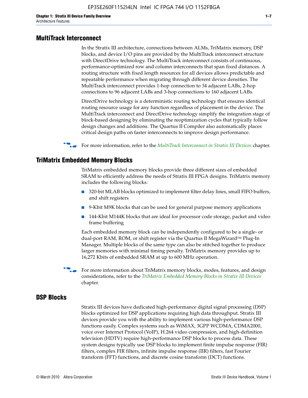#### **MultiTrack Interconnect**

In the Stratix III architecture, connections between ALMs, TriMatrix memory, DSP blocks, and device I/O pins are provided by the MultiTrack interconnect structure with DirectDrive technology. The MultiTrack interconnect consists of continuous, performance-optimized row and column interconnects that span fixed distances. A routing structure with fixed length resources for all devices allows predictable and repeatable performance when migrating through different device densities. The MultiTrack interconnect provides 1-hop connection to 34 adjacent LABs, 2-hop connections to 96 adjacent LABs and 3-hop connections to 160 adjacent LABs.

DirectDrive technology is a deterministic routing technology that ensures identical routing resource usage for any function regardless of placement in the device. The MultiTrack interconnect and DirectDrive technology simplify the integration stage of block-based designing by eliminating the reoptimization cycles that typically follow design changes and additions. The Quartus II Compiler also automatically places critical design paths on faster interconnects to improve design performance.

#### **For more information, refer to the** *[MultiTrack Interconnect in Stratix III Devices](http://www.altera.com/literature/hb/stx3/stx3_siii51003.pdf)* **chapter.**

#### **TriMatrix Embedded Memory Blocks**

TriMatrix embedded memory blocks provide three different sizes of embedded SRAM to efficiently address the needs of Stratix III FPGA designs. TriMatrix memory includes the following blocks:

- 320-bit MLAB blocks optimized to implement filter delay lines, small FIFO buffers, and shift registers
- 9-Kbit M9K blocks that can be used for general purpose memory applications
- 144-Kbit M144K blocks that are ideal for processor code storage, packet and video frame buffering

Each embedded memory block can be independently configured to be a single- or dual-port RAM, ROM, or shift register via the Quartus II MegaWizard™ Plug-In Manager. Multiple blocks of the same type can also be stitched together to produce larger memories with minimal timing penalty. TriMatrix memory provides up to 16,272 Kbits of embedded SRAM at up to 600 MHz operation.

For more information about TriMatrix memory blocks, modes, features, and design considerations, refer to the *[TriMatrix Embedded Memory Blocks in Stratix III Devices](http://www.altera.com/literature/hb/stx3/stx3_siii51004.pdf)* chapter.

#### **DSP Blocks**

Stratix III devices have dedicated high-performance digital signal processing (DSP) blocks optimized for DSP applications requiring high data throughput. Stratix III devices provide you with the ability to implement various high-performance DSP functions easily. Complex systems such as WiMAX, 3GPP WCDMA, CDMA2000, voice over Internet Protocol (VoIP), H.264 video compression, and high-definition television (HDTV) require high-performance DSP blocks to process data. These system designs typically use DSP blocks to implement finite impulse response (FIR) filters, complex FIR filters, infinite impulse response (IIR) filters, fast Fourier transform (FFT) functions, and discrete cosine transform (DCT) functions.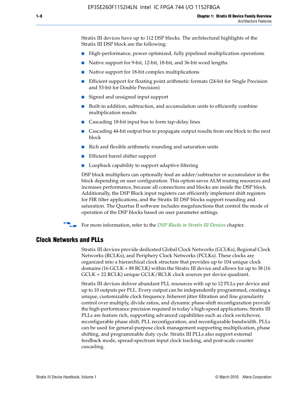Stratix III devices have up to 112 DSP blocks. The architectural highlights of the Stratix III DSP block are the following:

- High-performance, power optimized, fully pipelined multiplication operations
- Native support for 9-bit, 12-bit, 18-bit, and 36-bit word lengths
- Native support for 18-bit complex multiplications
- Efficient support for floating point arithmetic formats (24-bit for Single Precision and 53-bit for Double Precision)
- Signed and unsigned input support
- Built-in addition, subtraction, and accumulation units to efficiently combine multiplication results
- Cascading 18-bit input bus to form tap-delay lines
- Cascading 44-bit output bus to propagate output results from one block to the next block
- Rich and flexible arithmetic rounding and saturation units
- Efficient barrel shifter support
- Loopback capability to support adaptive filtering

DSP block multipliers can optionally feed an adder/subtractor or accumulator in the block depending on user configuration. This option saves ALM routing resources and increases performance, because all connections and blocks are inside the DSP block. Additionally, the DSP Block input registers can efficiently implement shift registers for FIR filter applications, and the Stratix III DSP blocks support rounding and saturation. The Quartus II software includes megafunctions that control the mode of operation of the DSP blocks based on user parameter settings.

f For more information, refer to the *[DSP Blocks in Stratix III Devices](http://www.altera.com/literature/hb/stx3/stx3_siii51005.pdf)* chapter.

#### **Clock Networks and PLLs**

Stratix III devices provide dedicated Global Clock Networks (GCLKs), Regional Clock Networks (RCLKs), and Periphery Clock Networks (PCLKs). These clocks are organized into a hierarchical clock structure that provides up to 104 unique clock domains (16 GCLK + 88 RCLK) within the Stratix III device and allows for up to 38 (16 GCLK + 22 RCLK) unique GCLK/RCLK clock sources per device quadrant.

Stratix III devices deliver abundant PLL resources with up to 12 PLLs per device and up to 10 outputs per PLL. Every output can be independently programmed, creating a unique, customizable clock frequency. Inherent jitter filtration and fine granularity control over multiply, divide ratios, and dynamic phase-shift reconfiguration provide the high-performance precision required in today's high-speed applications. Stratix III PLLs are feature rich, supporting advanced capabilities such as clock switchover, reconfigurable phase shift, PLL reconfiguration, and reconfigurable bandwidth. PLLs can be used for general-purpose clock management supporting multiplication, phase shifting, and programmable duty cycle. Stratix III PLLs also support external feedback mode, spread-spectrum input clock tracking, and post-scale counter cascading.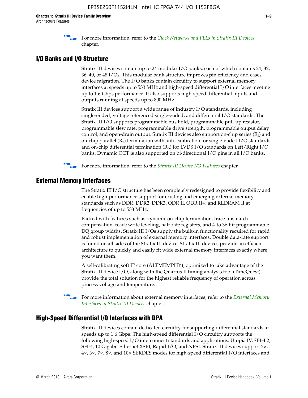f For more information, refer to the *[Clock Networks and PLLs in Stratix III Devices](http://www.altera.com/literature/hb/stx3/stx3_siii51006.pdf)* chapter.

### **I/O Banks and I/O Structure**

Stratix III devices contain up to 24 modular I/O banks, each of which contains 24, 32, 36, 40, or 48 I/Os. This modular bank structure improves pin efficiency and eases device migration. The I/O banks contain circuitry to support external memory interfaces at speeds up to 533 MHz and high-speed differential I/O interfaces meeting up to 1.6 Gbps performance. It also supports high-speed differential inputs and outputs running at speeds up to 800 MHz.

Stratix III devices support a wide range of industry I/O standards, including single-ended, voltage referenced single-ended, and differential I/O standards. The Stratix III I/O supports programmable bus hold, programmable pull-up resistor, programmable slew rate, programmable drive strength, programmable output delay control, and open-drain output. Stratix III devices also support on-chip series  $(R<sub>s</sub>)$  and on-chip parallel  $(R_T)$  termination with auto calibration for single-ended I/O standards and on-chip differential termination  $(R_D)$  for LVDS I/O standards on Left/Right I/O banks. Dynamic OCT is also supported on bi-directional I/O pins in all I/O banks.

**For more information, refer to the** *[Stratix III Device I/O Features](http://www.altera.com/literature/hb/stx3/stx3_siii51007.pdf)* **chapter.** 

## **External Memory Interfaces**

The Stratix III I/O structure has been completely redesigned to provide flexibility and enable high-performance support for existing and emerging external memory standards such as DDR, DDR2, DDR3, QDR II, QDR II+, and RLDRAM II at frequencies of up to 533 MHz.

Packed with features such as dynamic on-chip termination, trace mismatch compensation, read/write leveling, half-rate registers, and 4-to 36-bit programmable DQ group widths, Stratix III I/Os supply the built-in functionality required for rapid and robust implementation of external memory interfaces. Double data-rate support is found on all sides of the Stratix III device. Stratix III devices provide an efficient architecture to quickly and easily fit wide external memory interfaces exactly where you want them.

A self-calibrating soft IP core (ALTMEMPHY), optimized to take advantage of the Stratix III device I/O, along with the Quartus II timing analysis tool (TimeQuest), provide the total solution for the highest reliable frequency of operation across process voltage and temperature.

f For more information about external memory interfaces, refer to the *[External Memory](http://www.altera.com/literature/hb/stx3/stx3_siii51008.pdf)  [Interfaces in Stratix III Devices](http://www.altera.com/literature/hb/stx3/stx3_siii51008.pdf)* chapter.

#### **High-Speed Differential I/O Interfaces with DPA**

Stratix III devices contain dedicated circuitry for supporting differential standards at speeds up to 1.6 Gbps. The high-speed differential I/O circuitry supports the following high-speed I/O interconnect standards and applications: Utopia IV, SPI-4.2, SFI-4, 10 Gigabit Ethernet XSBI, Rapid I/O, and NPSI. Stratix III devices support 2×, 4×, 6×, 7×, 8×, and 10× SERDES modes for high-speed differential I/O interfaces and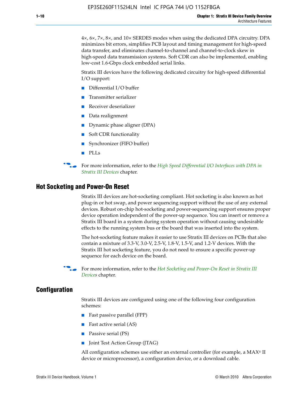4×, 6×, 7×, 8×, and 10× SERDES modes when using the dedicated DPA circuitry. DPA minimizes bit errors, simplifies PCB layout and timing management for high-speed data transfer, and eliminates channel-to-channel and channel-to-clock skew in high-speed data transmission systems. Soft CDR can also be implemented, enabling low-cost 1.6-Gbps clock embedded serial links.

Stratix III devices have the following dedicated circuitry for high-speed differential I/O support:

- Differential I/O buffer
- Transmitter serializer
- Receiver deserializer
- Data realignment
- Dynamic phase aligner (DPA)
- Soft CDR functionality
- Synchronizer (FIFO buffer)
- PLLs

**For more information, refer to the** *High Speed Differential I/O Interfaces with DPA in [Stratix III Devices](http://www.altera.com/literature/hb/stx3/stx3_siii51009.pdf)* chapter.

#### **Hot Socketing and Power-On Reset**

Stratix III devices are hot-socketing compliant. Hot socketing is also known as hot plug-in or hot swap, and power sequencing support without the use of any external devices. Robust on-chip hot-socketing and power-sequencing support ensures proper device operation independent of the power-up sequence. You can insert or remove a Stratix III board in a system during system operation without causing undesirable effects to the running system bus or the board that was inserted into the system.

The hot-socketing feature makes it easier to use Stratix III devices on PCBs that also contain a mixture of 3.3-V, 3.0-V, 2.5-V, 1.8-V, 1.5-V, and 1.2-V devices. With the Stratix III hot socketing feature, you do not need to ensure a specific power-up sequence for each device on the board.

f For more information, refer to the *[Hot Socketing and Power-On Reset in Stratix III](http://www.altera.com/literature/hb/stx3/stx3_siii51010.pdf)  [Device](http://www.altera.com/literature/hb/stx3/stx3_siii51010.pdf)s* chapter.

#### **Configuration**

Stratix III devices are configured using one of the following four configuration schemes:

- Fast passive parallel (FPP)
- Fast active serial (AS)
- Passive serial (PS)
- Joint Test Action Group (JTAG)

All configuration schemes use either an external controller (for example, a  $MAX<sup>®</sup>$  II device or microprocessor), a configuration device, or a download cable.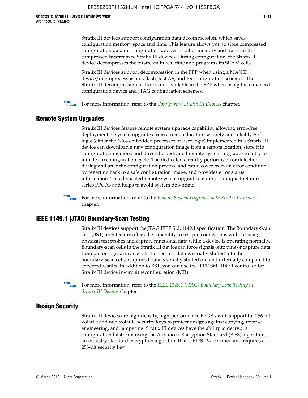Stratix III devices support configuration data decompression, which saves configuration memory space and time. This feature allows you to store compressed configuration data in configuration devices or other memory and transmit this compressed bitstream to Stratix III devices. During configuration, the Stratix III device decompresses the bitstream in real time and programs its SRAM cells.

Stratix III devices support decompression in the FPP when using a MAX II device/microprocessor plus flash, fast AS, and PS configuration schemes. The Stratix III decompression feature is not available in the FPP when using the enhanced configuration device and JTAG configuration schemes.

For more information, refer to the *[Configuring Stratix III Devices](http://www.altera.com/literature/hb/stx3/stx3_siii51011.pdf)* chapter.

## **Remote System Upgrades**

Stratix III devices feature remote system upgrade capability, allowing error-free deployment of system upgrades from a remote location securely and reliably. Soft logic (either the Nios embedded processor or user logic) implemented in a Stratix III device can download a new configuration image from a remote location, store it in configuration memory, and direct the dedicated remote system upgrade circuitry to initiate a reconfiguration cycle. The dedicated circuitry performs error detection during and after the configuration process, and can recover from an error condition by reverting back to a safe configuration image, and provides error status information. This dedicated remote system upgrade circuitry is unique to Stratix series FPGAs and helps to avoid system downtime.



**For more information, refer to the** *[Remote System Upgrades with Stratix III Devices](http://www.altera.com/literature/hb/stx3/stx3_siii51012.pdf)* chapter.

## **IEEE 1149.1 (JTAG) Boundary-Scan Testing**

Stratix III devices support the JTAG IEEE Std. 1149.1 specification. The Boundary-Scan Test (BST) architecture offers the capability to test pin connections without using physical test probes and capture functional data while a device is operating normally. Boundary-scan cells in the Stratix III device can force signals onto pins or capture data from pin or logic array signals. Forced test data is serially shifted into the boundary-scan cells. Captured data is serially shifted out and externally compared to expected results. In addition to BST, you can use the IEEE Std. 1149.1 controller for Stratix III device in-circuit reconfiguration (ICR).

For more information, refer to the *IEEE 1149.1 (JTAG) Boundary Scan Testing in [Stratix III Devices](http://www.altera.com/literature/hb/stx3/stx3_siii51013.pdf)* chapter.

## **Design Security**

Stratix III devices are high-density, high-performance FPGAs with support for 256-bit volatile and non-volatile security keys to protect designs against copying, reverse engineering, and tampering. Stratix III devices have the ability to decrypt a configuration bitstream using the Advanced Encryption Standard (AES) algorithm, an industry standard encryption algorithm that is FIPS-197 certified and requires a 256-bit security key.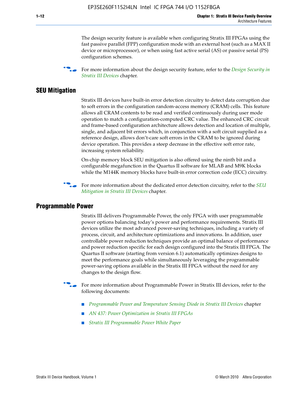The design security feature is available when configuring Stratix III FPGAs using the fast passive parallel (FPP) configuration mode with an external host (such as a MAX II device or microprocessor), or when using fast active serial (AS) or passive serial (PS) configuration schemes.

f For more information about the design security feature, refer to the *[Design Security in](http://www.altera.com/literature/hb/stx3/stx3_siii51014.pdf)  [Stratix III Devices](http://www.altera.com/literature/hb/stx3/stx3_siii51014.pdf)* chapter.

## **SEU Mitigation**

Stratix III devices have built-in error detection circuitry to detect data corruption due to soft errors in the configuration random-access memory (CRAM) cells. This feature allows all CRAM contents to be read and verified continuously during user mode operation to match a configuration-computed CRC value. The enhanced CRC circuit and frame-based configuration architecture allows detection and location of multiple, single, and adjacent bit errors which, in conjunction with a soft circuit supplied as a reference design, allows don't-care soft errors in the CRAM to be ignored during device operation. This provides a steep decrease in the effective soft error rate, increasing system reliability.

On-chip memory block SEU mitigation is also offered using the ninth bit and a configurable megafunction in the Quartus II software for MLAB and M9K blocks while the M144K memory blocks have built-in error correction code (ECC) circuitry.

For more information about the dedicated error detection circuitry, refer to the *SEU [Mitigation in Stratix III Devices](http://www.altera.com/literature/hb/stx3/stx3_siii51015.pdf)* chapter.

#### **Programmable Power**

Stratix III delivers Programmable Power, the only FPGA with user programmable power options balancing today's power and performance requirements. Stratix III devices utilize the most advanced power-saving techniques, including a variety of process, circuit, and architecture optimizations and innovations. In addition, user controllable power reduction techniques provide an optimal balance of performance and power reduction specific for each design configured into the Stratix III FPGA. The Quartus II software (starting from version 6.1) automatically optimizes designs to meet the performance goals while simultaneously leveraging the programmable power-saving options available in the Stratix III FPGA without the need for any changes to the design flow.

For more information about Programmable Power in Stratix III devices, refer to the following documents:

- *[Programmable Power and Temperature Sensing Diode in Stratix III Devices](http://www.altera.com/literature/hb/stx3/stx3_siii51016.pdf)* chapter
- *[AN 437: Power Optimization in Stratix III FPGAs](http://www.altera.com/literature/an/AN437.pdf)*
- *[Stratix III Programmable Power White Paper](http://www.altera.com/literature/wp/wp-01006.pdf)*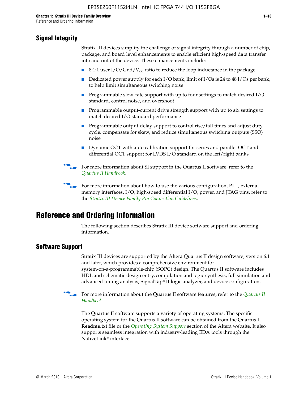## **Signal Integrity**

Stratix III devices simplify the challenge of signal integrity through a number of chip, package, and board level enhancements to enable efficient high-speed data transfer into and out of the device. These enhancements include:

- 8:1:1 user I/O/Gnd/V<sub>cc</sub> ratio to reduce the loop inductance in the package
- Dedicated power supply for each I/O bank, limit of I/Os is 24 to 48 I/Os per bank, to help limit simultaneous switching noise
- Programmable slew-rate support with up to four settings to match desired I/O standard, control noise, and overshoot
- Programmable output-current drive strength support with up to six settings to match desired I/O standard performance
- Programmable output-delay support to control rise/fall times and adjust duty cycle, compensate for skew, and reduce simultaneous switching outputs (SSO) noise
- Dynamic OCT with auto calibration support for series and parallel OCT and differential OCT support for LVDS I/O standard on the left/right banks
- For mor[e](http://www.altera.com/literature/hb/qts/quartusii_handbook.pdf) information about SI support in the Quartus II software, refer to the *[Quartus II Handbook](http://www.altera.com/literature/hb/qts/quartusii_handbook.pdf)*.

For more information about how to use the various configuration, PLL, external memory interfaces, I/O, high-speed differential I/O, power, and JTAG pins, refer to the *[Stratix III Device Family Pin Connection Guidelines](http://www.altera.com/literature/dp/stx3/PCG-01004.pdf)*.

# **Reference and Ordering Information**

The following section describes Stratix III device software support and ordering information.

## **Software Support**

Stratix III devices are supported by the Altera Quartus II design software, version 6.1 and later, which provides a comprehensive environment for system-on-a-programmable-chip (SOPC) design. The Quartus II software includes HDL and schematic design entry, compilation and logic synthesis, full simulation and advanced timing analysis, SignalTap® II logic analyzer, and device configuration.

**For more information about the [Quartus II](http://www.altera.com/literature/hb/qts/quartusii_handbook.pdf) software features, refer to the** *Quartus II* **<b>Fig. 7** *[Handbook](http://www.altera.com/literature/hb/qts/quartusii_handbook.pdf)*.

The Quartus II software supports a variety of operating systems. The specific operating system for the Quartus II software can be obtained from the Quartus II **Readme.txt** file or the *[Operating System Support](http://www.altera.com/support/software/os_support/oss-index.html)* section of the Altera website. It also supports seamless integration with industry-leading EDA tools through the NativeLink® interface.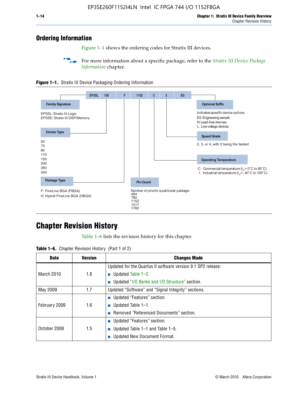## **Ordering Information**

Figure 1–1 shows the ordering codes for Stratix III devices.

For more information about a specific package, refer to the *Stratix III Device Package [Information](http://www.altera.com/literature/hb/stx3/stx3_siii51017.pdf)* chapter.





# **[C](http://www.altera.com/literature/hb/stx3/stx3_siii51012.pdf)hapter Revision History**

Table 1–6 lists the revision history for this chapter.

| <b>Table 1–6.</b> Chapter Revision History (Part 1 of 2) |  |  |  |  |  |
|----------------------------------------------------------|--|--|--|--|--|
|----------------------------------------------------------|--|--|--|--|--|

| <b>Date</b>       | <b>Version</b> | <b>Changes Made</b>                                          |
|-------------------|----------------|--------------------------------------------------------------|
|                   |                | Updated for the Quartus II software version 9.1 SP2 release: |
| <b>March 2010</b> | 1.8            | <b>u</b> Updated Table $1-2$ .                               |
|                   |                | ■ Updated "I/O Banks and I/O Structure" section.             |
| May 2009          | 1.7            | Updated "Software" and "Signal Integrity" sections.          |
|                   |                | Updated "Features" section.                                  |
| February 2009     | 1.6            | <b>u</b> Updated Table $1-1$ .                               |
|                   |                | Removed "Referenced Documents" section.                      |
|                   |                | ■ Updated "Features" section.                                |
| October 2008      | 1.5            | ■ Updated Table 1–1 and Table 1–5.                           |
|                   |                | <b>Updated New Document Format.</b>                          |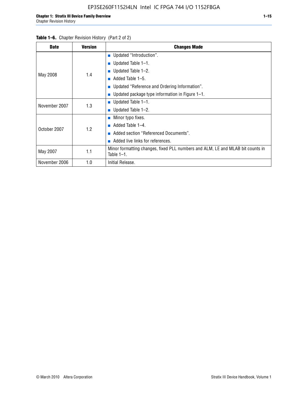| <b>Date</b>   | <b>Version</b> | <b>Changes Made</b>                                                                             |
|---------------|----------------|-------------------------------------------------------------------------------------------------|
|               |                | <b>Updated "Introduction".</b>                                                                  |
|               |                | ■ Updated Table $1-1$ .                                                                         |
|               | 1.4            | Updated Table 1-2.                                                                              |
| May 2008      |                | Added Table 1-5.<br><b>COL</b>                                                                  |
|               |                | ■ Updated "Reference and Ordering Information".                                                 |
|               |                | Updated package type information in Figure 1-1.                                                 |
| November 2007 | 1.3            | ■ Updated Table $1-1$ .                                                                         |
|               |                | ■ Updated Table $1-2$ .                                                                         |
|               |                | Minor typo fixes.<br><b>COL</b>                                                                 |
| October 2007  | 1.2            | Added Table 1-4.<br>m.                                                                          |
|               |                | Added section "Referenced Documents".                                                           |
|               |                | Added live links for references.                                                                |
| May 2007      | 1.1            | Minor formatting changes, fixed PLL numbers and ALM, LE and MLAB bit counts in<br>Table $1-1$ . |
| November 2006 | 1.0            | Initial Release.                                                                                |